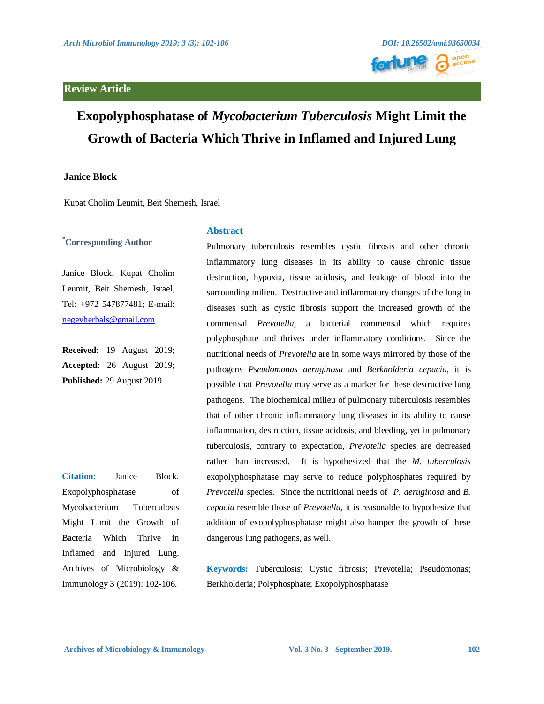## **Review Article**



# **Exopolyphosphatase of** *Mycobacterium Tuberculosis* **Might Limit the Growth of Bacteria Which Thrive in Inflamed and Injured Lung**

### **Janice Block**

Kupat Cholim Leumit, Beit Shemesh, Israel

. **\*Corresponding Author**

Janice Block, Kupat Cholim Leumit, Beit Shemesh, Israel, Tel: +972 547877481; E-mail: [negevherbals@gmail.com](mailto:negevherbals@gmail.com)

**Received:** 19 August 2019; **Accepted:** 26 August 2019; **Published:** 29 August 2019

**Citation:** Janice Block. Exopolyphosphatase of Mycobacterium Tuberculosis Might Limit the Growth of Bacteria Which Thrive in Inflamed and Injured Lung. Archives of Microbiology & Immunology 3 (2019): 102-106.

#### **Abstract**

Pulmonary tuberculosis resembles cystic fibrosis and other chronic inflammatory lung diseases in its ability to cause chronic tissue destruction, hypoxia, tissue acidosis, and leakage of blood into the surrounding milieu. Destructive and inflammatory changes of the lung in diseases such as cystic fibrosis support the increased growth of the commensal *Prevotella,* a bacterial commensal which requires polyphosphate and thrives under inflammatory conditions. Since the nutritional needs of *Prevotella* are in some ways mirrored by those of the pathogens *Pseudomonas aeruginosa* and *Berkholderia cepacia*, it is possible that *Prevotella* may serve as a marker for these destructive lung pathogens. The biochemical milieu of pulmonary tuberculosis resembles that of other chronic inflammatory lung diseases in its ability to cause inflammation, destruction, tissue acidosis, and bleeding, yet in pulmonary tuberculosis, contrary to expectation, *Prevotella* species are decreased rather than increased. It is hypothesized that the *M. tuberculosis* exopolyphosphatase may serve to reduce polyphosphates required by *Prevotella* species. Since the nutritional needs of *P. aeruginosa* and *B. cepacia* resemble those of *Prevotella*, it is reasonable to hypothesize that addition of exopolyphosphatase might also hamper the growth of these dangerous lung pathogens, as well.

**Keywords:** Tuberculosis; Cystic fibrosis; Prevotella; Pseudomonas; Berkholderia; Polyphosphate; Exopolyphosphatase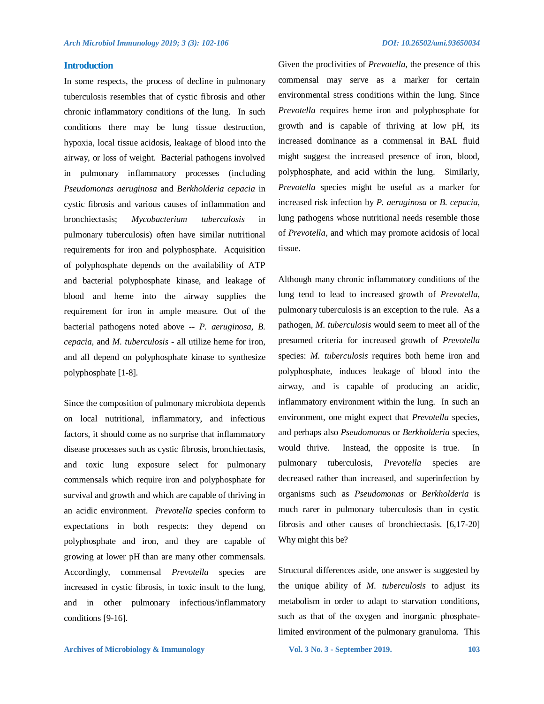#### **Introduction**

In some respects, the process of decline in pulmonary tuberculosis resembles that of cystic fibrosis and other chronic inflammatory conditions of the lung. In such conditions there may be lung tissue destruction, hypoxia, local tissue acidosis, leakage of blood into the airway, or loss of weight. Bacterial pathogens involved in pulmonary inflammatory processes (including *Pseudomonas aeruginosa* and *Berkholderia cepacia* in cystic fibrosis and various causes of inflammation and bronchiectasis; *Mycobacterium tuberculosis* in pulmonary tuberculosis) often have similar nutritional requirements for iron and polyphosphate. Acquisition of polyphosphate depends on the availability of ATP and bacterial polyphosphate kinase, and leakage of blood and heme into the airway supplies the requirement for iron in ample measure. Out of the bacterial pathogens noted above -- *P. aeruginosa, B. cepacia*, and *M. tuberculosis* - all utilize heme for iron, and all depend on polyphosphate kinase to synthesize polyphosphate [1-8].

Since the composition of pulmonary microbiota depends on local nutritional, inflammatory, and infectious factors, it should come as no surprise that inflammatory disease processes such as cystic fibrosis, bronchiectasis, and toxic lung exposure select for pulmonary commensals which require iron and polyphosphate for survival and growth and which are capable of thriving in an acidic environment. *Prevotella* species conform to expectations in both respects: they depend on polyphosphate and iron, and they are capable of growing at lower pH than are many other commensals. Accordingly, commensal *Prevotella* species are increased in cystic fibrosis, in toxic insult to the lung, and in other pulmonary infectious/inflammatory conditions [9-16].

Given the proclivities of *Prevotella*, the presence of this commensal may serve as a marker for certain environmental stress conditions within the lung. Since *Prevotella* requires heme iron and polyphosphate for growth and is capable of thriving at low pH, its increased dominance as a commensal in BAL fluid might suggest the increased presence of iron, blood, polyphosphate, and acid within the lung. Similarly, *Prevotella* species might be useful as a marker for increased risk infection by *P. aeruginosa* or *B. cepacia*, lung pathogens whose nutritional needs resemble those of *Prevotella*, and which may promote acidosis of local tissue*.*

Although many chronic inflammatory conditions of the lung tend to lead to increased growth of *Prevotella*, pulmonary tuberculosis is an exception to the rule. As a pathogen, *M. tuberculosis* would seem to meet all of the presumed criteria for increased growth of *Prevotella* species: *M. tuberculosis* requires both heme iron and polyphosphate, induces leakage of blood into the airway, and is capable of producing an acidic, inflammatory environment within the lung. In such an environment, one might expect that *Prevotella* species, and perhaps also *Pseudomonas* or *Berkholderia* species, would thrive. Instead, the opposite is true. In pulmonary tuberculosis, *Prevotella* species are decreased rather than increased, and superinfection by organisms such as *Pseudomonas* or *Berkholderia* is much rarer in pulmonary tuberculosis than in cystic fibrosis and other causes of bronchiectasis. [6,17-20] Why might this be?

Structural differences aside, one answer is suggested by the unique ability of *M. tuberculosis* to adjust its metabolism in order to adapt to starvation conditions, such as that of the oxygen and inorganic phosphatelimited environment of the pulmonary granuloma. This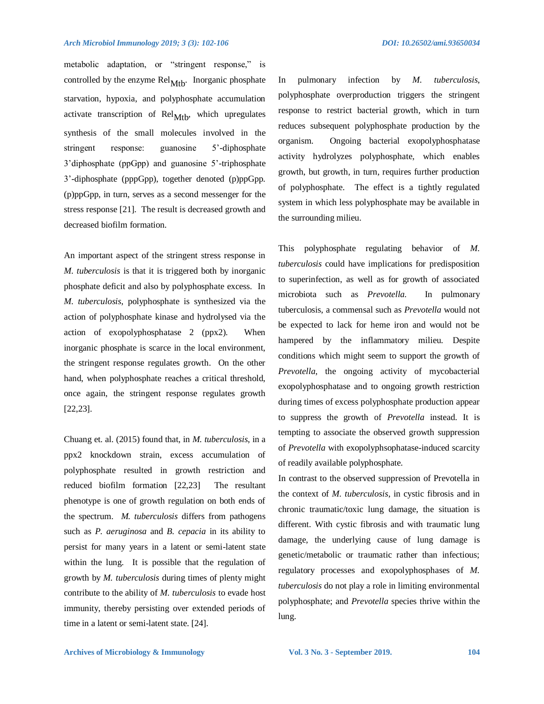#### *Arch Microbiol Immunology 2019; 3 (3): 102-106 DOI: 10.26502/ami.93650034*

metabolic adaptation, or "stringent response," is controlled by the enzyme  $\text{Rel}_{\text{Mtb}}$ . Inorganic phosphate starvation, hypoxia, and polyphosphate accumulation activate transcription of  $\text{Rel}_{\text{Mth}}$ , which upregulates synthesis of the small molecules involved in the stringent response: guanosine 5'-diphosphate 3'diphosphate (ppGpp) and guanosine 5'-triphosphate 3'-diphosphate (pppGpp), together denoted (p)ppGpp. (p)ppGpp, in turn, serves as a second messenger for the stress response [21]. The result is decreased growth and decreased biofilm formation.

An important aspect of the stringent stress response in *M. tuberculosis* is that it is triggered both by inorganic phosphate deficit and also by polyphosphate excess. In *M. tuberculosis*, polyphosphate is synthesized via the action of polyphosphate kinase and hydrolysed via the action of exopolyphosphatase 2 (ppx2). When inorganic phosphate is scarce in the local environment, the stringent response regulates growth. On the other hand, when polyphosphate reaches a critical threshold, once again, the stringent response regulates growth [22,23].

Chuang et. al. (2015) found that, in *M. tuberculosis*, in a ppx2 knockdown strain, excess accumulation of polyphosphate resulted in growth restriction and reduced biofilm formation [22,23] The resultant phenotype is one of growth regulation on both ends of the spectrum. *M. tuberculosis* differs from pathogens such as *P. aeruginosa* and *B. cepacia* in its ability to persist for many years in a latent or semi-latent state within the lung. It is possible that the regulation of growth by *M. tuberculosis* during times of plenty might contribute to the ability of *M. tuberculosis* to evade host immunity, thereby persisting over extended periods of time in a latent or semi-latent state. [24].

In pulmonary infection by *M. tuberculosis*, polyphosphate overproduction triggers the stringent response to restrict bacterial growth, which in turn reduces subsequent polyphosphate production by the organism. Ongoing bacterial exopolyphosphatase activity hydrolyzes polyphosphate, which enables growth, but growth, in turn, requires further production of polyphosphate. The effect is a tightly regulated system in which less polyphosphate may be available in the surrounding milieu.

This polyphosphate regulating behavior of *M. tuberculosis* could have implications for predisposition to superinfection, as well as for growth of associated microbiota such as *Prevotella.* In pulmonary tuberculosis, a commensal such as *Prevotella* would not be expected to lack for heme iron and would not be hampered by the inflammatory milieu. Despite conditions which might seem to support the growth of *Prevotella*, the ongoing activity of mycobacterial exopolyphosphatase and to ongoing growth restriction during times of excess polyphosphate production appear to suppress the growth of *Prevotella* instead. It is tempting to associate the observed growth suppression of *Prevotella* with exopolyphsophatase-induced scarcity of readily available polyphosphate.

In contrast to the observed suppression of Prevotella in the context of *M. tuberculosis*, in cystic fibrosis and in chronic traumatic/toxic lung damage, the situation is different. With cystic fibrosis and with traumatic lung damage, the underlying cause of lung damage is genetic/metabolic or traumatic rather than infectious; regulatory processes and exopolyphosphases of *M. tuberculosis* do not play a role in limiting environmental polyphosphate; and *Prevotella* species thrive within the lung.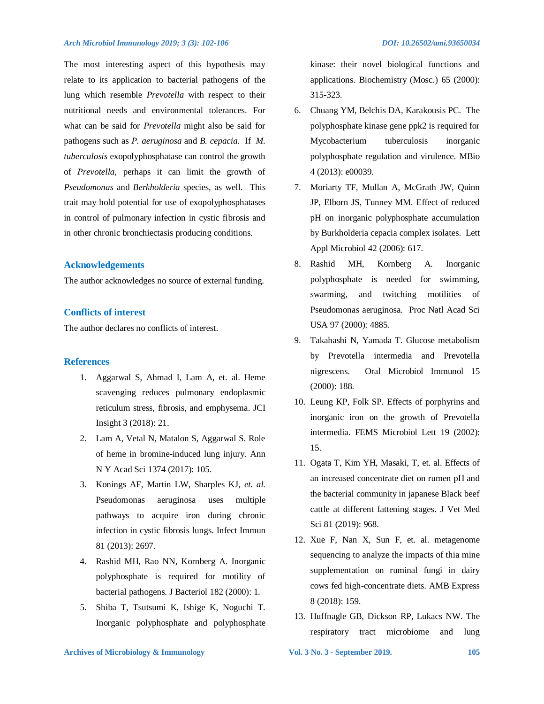The most interesting aspect of this hypothesis may relate to its application to bacterial pathogens of the lung which resemble *Prevotella* with respect to their nutritional needs and environmental tolerances. For what can be said for *Prevotella* might also be said for pathogens such as *P. aeruginosa* and *B. cepacia.* If *M. tuberculosis* exopolyphosphatase can control the growth of *Prevotella,* perhaps it can limit the growth of *Pseudomonas* and *Berkholderia* species, as well. This trait may hold potential for use of exopolyphosphatases in control of pulmonary infection in cystic fibrosis and in other chronic bronchiectasis producing conditions.

#### **Acknowledgements**

The author acknowledges no source of external funding.

#### **Conflicts of interest**

The author declares no conflicts of interest.

#### **References**

- 1. Aggarwal S, Ahmad I, Lam A, et. al. Heme scavenging reduces pulmonary endoplasmic reticulum stress, fibrosis, and emphysema. JCI Insight 3 (2018): 21.
- 2. Lam A, Vetal N, Matalon S, Aggarwal S. Role of heme in bromine-induced lung injury. Ann N Y Acad Sci 1374 (2017): 105.
- 3. Konings AF, Martin LW, Sharples KJ, *et. al.* Pseudomonas aeruginosa uses multiple pathways to acquire iron during chronic infection in cystic fibrosis lungs. Infect Immun 81 (2013): 2697.
- 4. Rashid MH, Rao NN, Kornberg A. Inorganic polyphosphate is required for motility of bacterial pathogens. J Bacteriol 182 (2000): 1.
- 5. Shiba T, Tsutsumi K, Ishige K, Noguchi T. Inorganic polyphosphate and polyphosphate

kinase: their novel biological functions and applications. Biochemistry (Mosc.) 65 (2000): 315-323.

- 6. Chuang YM, Belchis DA, Karakousis PC. The polyphosphate kinase gene ppk2 is required for Mycobacterium tuberculosis inorganic polyphosphate regulation and virulence. MBio 4 (2013): e00039.
- 7. Moriarty TF, Mullan A, McGrath JW, Quinn JP, Elborn JS, Tunney MM. Effect of reduced pH on inorganic polyphosphate accumulation by Burkholderia cepacia complex isolates. Lett Appl Microbiol 42 (2006): 617.
- 8. Rashid MH, Kornberg A. Inorganic polyphosphate is needed for swimming, swarming, and twitching motilities of Pseudomonas aeruginosa. Proc Natl Acad Sci USA 97 (2000): 4885.
- 9. Takahashi N, Yamada T. Glucose metabolism by Prevotella intermedia and Prevotella nigrescens. Oral Microbiol Immunol 15 (2000): 188.
- 10. Leung KP, Folk SP. Effects of porphyrins and inorganic iron on the growth of Prevotella intermedia. FEMS Microbiol Lett 19 (2002): 15.
- 11. Ogata T, Kim YH, Masaki, T, et. al. Effects of an increased concentrate diet on rumen pH and the bacterial community in japanese Black beef cattle at different fattening stages. J Vet Med Sci 81 (2019): 968.
- 12. Xue F, Nan X, Sun F, et. al. metagenome sequencing to analyze the impacts of thia mine supplementation on ruminal fungi in dairy cows fed high-concentrate diets. AMB Express 8 (2018): 159.
- 13. Huffnagle GB, Dickson RP, Lukacs NW. The respiratory tract microbiome and lung